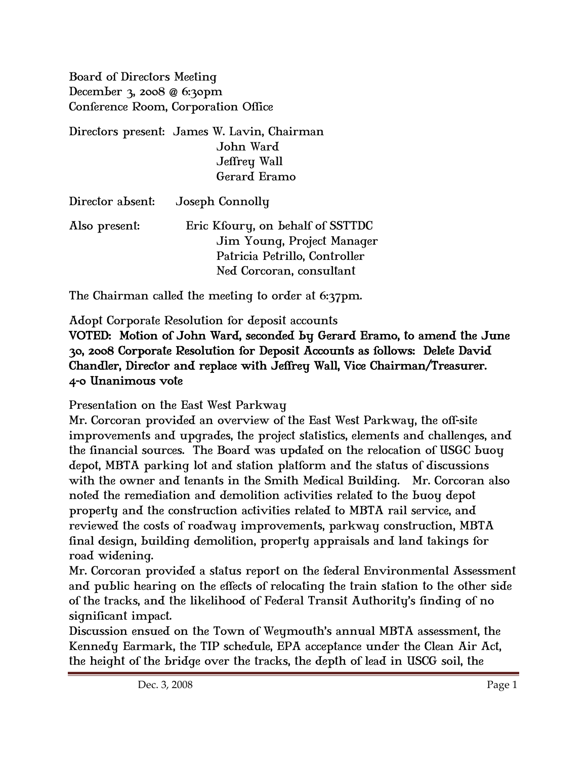Board of Directors Meeting December 3, 2008 @ 6:30pm Conference Room, Corporation Office

| Directors present: James W. Lavin, Chairman |
|---------------------------------------------|
| John Ward                                   |
| Jeffrey Wall                                |
| Gerard Eramo                                |

| Director absent: | Joseph Connolly                  |
|------------------|----------------------------------|
| Also present:    | Eric Kfoury, on behalf of SSTTDC |
|                  | Jim Young, Project Manager       |
|                  | Patricia Petrillo, Controller    |
|                  | Ned Corcoran, consultant         |

The Chairman called the meeting to order at 6:37pm.

Adopt Corporate Resolution for deposit accounts

## VOTED: Motion of John Ward, seconded by Gerard Eramo, to amend the June 30, 2008 Corporate Resolution for Deposit Accounts as follows: Delete David Chandler, Director and replace with Jeffrey Wall, Vice Chairman/Treasurer. 4-0 Unanimous vote

Presentation on the East West Parkway

Mr. Corcoran provided an overview of the East West Parkway, the off-site improvements and upgrades, the project statistics, elements and challenges, and the financial sources. The Board was updated on the relocation of USGC buoy depot, MBTA parking lot and station platform and the status of discussions with the owner and tenants in the Smith Medical Building. Mr. Corcoran also noted the remediation and demolition activities related to the buoy depot property and the construction activities related to MBTA rail service, and reviewed the costs of roadway improvements, parkway construction, MBTA final design, building demolition, property appraisals and land takings for road widening.

Mr. Corcoran provided a status report on the federal Environmental Assessment and public hearing on the effects of relocating the train station to the other side of the tracks, and the likelihood of Federal Transit Authority's finding of no significant impact.

Discussion ensued on the Town of Weymouth's annual MBTA assessment, the Kennedy Earmark, the TIP schedule, EPA acceptance under the Clean Air Act, the height of the bridge over the tracks, the depth of lead in USCG soil, the